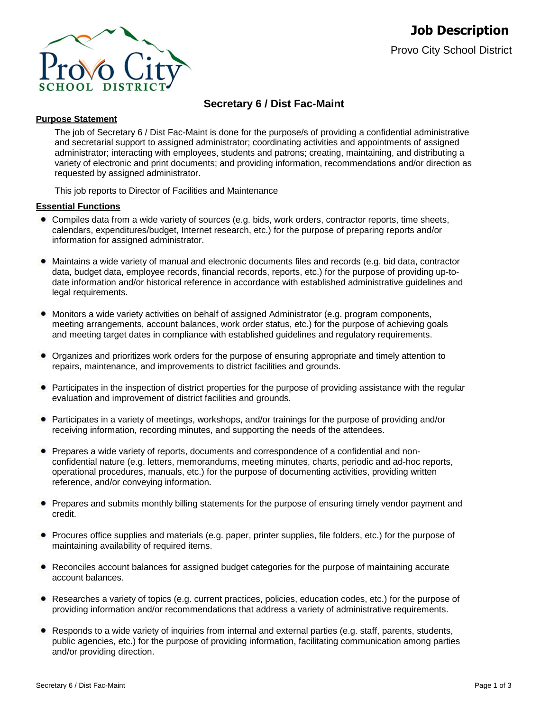

# **Secretary 6 / Dist Fac-Maint**

# **Purpose Statement**

The job of Secretary 6 / Dist Fac-Maint is done for the purpose/s of providing a confidential administrative and secretarial support to assigned administrator; coordinating activities and appointments of assigned administrator; interacting with employees, students and patrons; creating, maintaining, and distributing a variety of electronic and print documents; and providing information, recommendations and/or direction as requested by assigned administrator.

This job reports to Director of Facilities and Maintenance

#### **Essential Functions**

- Compiles data from a wide variety of sources (e.g. bids, work orders, contractor reports, time sheets, calendars, expenditures/budget, Internet research, etc.) for the purpose of preparing reports and/or information for assigned administrator.
- $\bullet$ Maintains a wide variety of manual and electronic documents files and records (e.g. bid data, contractor data, budget data, employee records, financial records, reports, etc.) for the purpose of providing up-todate information and/or historical reference in accordance with established administrative guidelines and legal requirements.
- Monitors a wide variety activities on behalf of assigned Administrator (e.g. program components, meeting arrangements, account balances, work order status, etc.) for the purpose of achieving goals and meeting target dates in compliance with established guidelines and regulatory requirements.
- Organizes and prioritizes work orders for the purpose of ensuring appropriate and timely attention to repairs, maintenance, and improvements to district facilities and grounds.
- Participates in the inspection of district properties for the purpose of providing assistance with the regular evaluation and improvement of district facilities and grounds.
- Participates in a variety of meetings, workshops, and/or trainings for the purpose of providing and/or receiving information, recording minutes, and supporting the needs of the attendees.
- Prepares a wide variety of reports, documents and correspondence of a confidential and nonconfidential nature (e.g. letters, memorandums, meeting minutes, charts, periodic and ad-hoc reports, operational procedures, manuals, etc.) for the purpose of documenting activities, providing written reference, and/or conveying information.
- **•** Prepares and submits monthly billing statements for the purpose of ensuring timely vendor payment and credit.
- Procures office supplies and materials (e.g. paper, printer supplies, file folders, etc.) for the purpose of maintaining availability of required items.
- Reconciles account balances for assigned budget categories for the purpose of maintaining accurate account balances.
- Researches a variety of topics (e.g. current practices, policies, education codes, etc.) for the purpose of providing information and/or recommendations that address a variety of administrative requirements.
- Responds to a wide variety of inquiries from internal and external parties (e.g. staff, parents, students, public agencies, etc.) for the purpose of providing information, facilitating communication among parties and/or providing direction.